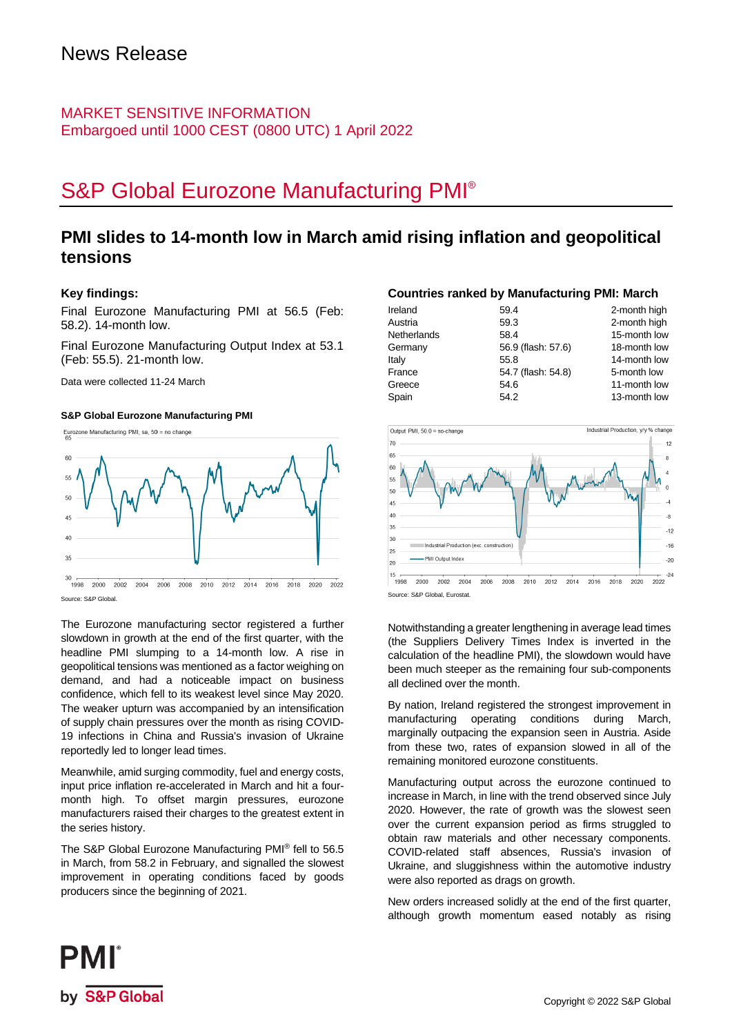### MARKET SENSITIVE INFORMATION Embargoed until 1000 CEST (0800 UTC) 1 April 2022

# S&P Global Eurozone Manufacturing PMI®

### **PMI slides to 14-month low in March amid rising inflation and geopolitical tensions**

### **Key findings:**

Final Eurozone Manufacturing PMI at 56.5 (Feb: 58.2). 14-month low.

Final Eurozone Manufacturing Output Index at 53.1 (Feb: 55.5). 21-month low.

Data were collected 11-24 March

### **S&P Global Eurozone Manufacturing PMI**



The Eurozone manufacturing sector registered a further slowdown in growth at the end of the first quarter, with the headline PMI slumping to a 14-month low. A rise in geopolitical tensions was mentioned as a factor weighing on demand, and had a noticeable impact on business confidence, which fell to its weakest level since May 2020. The weaker upturn was accompanied by an intensification of supply chain pressures over the month as rising COVID-19 infections in China and Russia's invasion of Ukraine reportedly led to longer lead times.

Meanwhile, amid surging commodity, fuel and energy costs, input price inflation re-accelerated in March and hit a fourmonth high. To offset margin pressures, eurozone manufacturers raised their charges to the greatest extent in the series history.

The S&P Global Eurozone Manufacturing PMI® fell to 56.5 in March, from 58.2 in February, and signalled the slowest improvement in operating conditions faced by goods producers since the beginning of 2021.

### **Countries ranked by Manufacturing PMI: March**

| Ireland     | 59.4               | 2-month high |
|-------------|--------------------|--------------|
| Austria     | 59.3               | 2-month high |
| Netherlands | 58.4               | 15-month low |
| Germany     | 56.9 (flash: 57.6) | 18-month low |
| Italy       | 55.8               | 14-month low |
| France      | 54.7 (flash: 54.8) | 5-month low  |
| Greece      | 54.6               | 11-month low |
| Spain       | 54.2               | 13-month low |



Notwithstanding a greater lengthening in average lead times (the Suppliers Delivery Times Index is inverted in the calculation of the headline PMI), the slowdown would have been much steeper as the remaining four sub-components all declined over the month.

By nation, Ireland registered the strongest improvement in manufacturing operating conditions during March, marginally outpacing the expansion seen in Austria. Aside from these two, rates of expansion slowed in all of the remaining monitored eurozone constituents.

Manufacturing output across the eurozone continued to increase in March, in line with the trend observed since July 2020. However, the rate of growth was the slowest seen over the current expansion period as firms struggled to obtain raw materials and other necessary components. COVID-related staff absences, Russia's invasion of Ukraine, and sluggishness within the automotive industry were also reported as drags on growth.

New orders increased solidly at the end of the first quarter, although growth momentum eased notably as rising

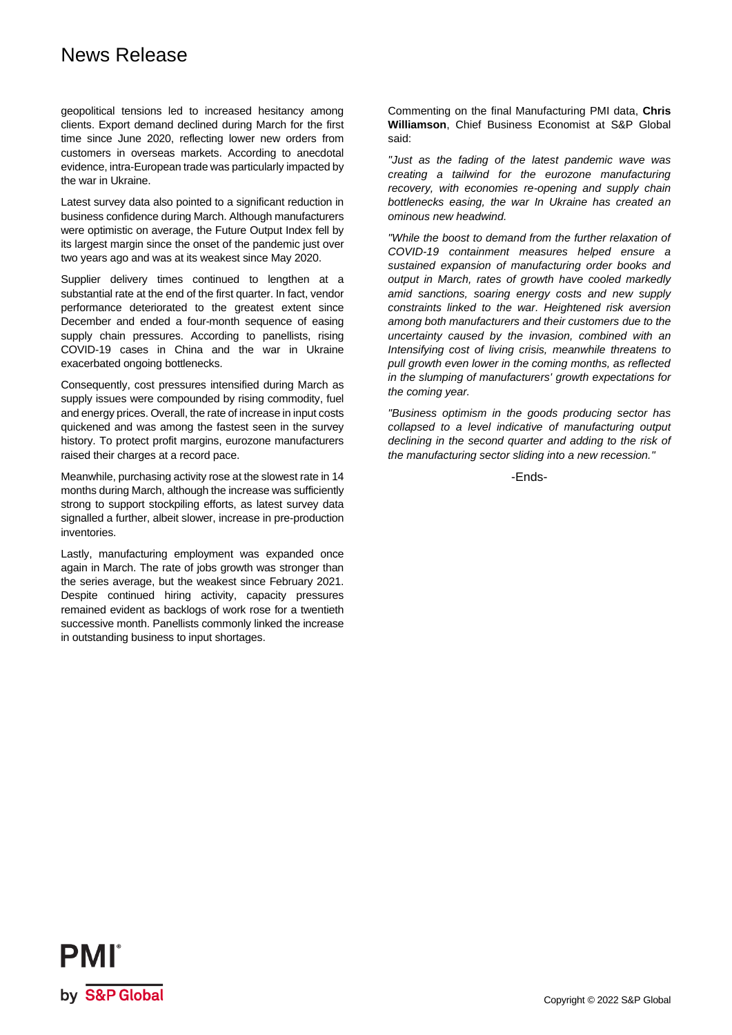## News Release

geopolitical tensions led to increased hesitancy among clients. Export demand declined during March for the first time since June 2020, reflecting lower new orders from customers in overseas markets. According to anecdotal evidence, intra-European trade was particularly impacted by the war in Ukraine.

Latest survey data also pointed to a significant reduction in business confidence during March. Although manufacturers were optimistic on average, the Future Output Index fell by its largest margin since the onset of the pandemic just over two years ago and was at its weakest since May 2020.

Supplier delivery times continued to lengthen at a substantial rate at the end of the first quarter. In fact, vendor performance deteriorated to the greatest extent since December and ended a four-month sequence of easing supply chain pressures. According to panellists, rising COVID-19 cases in China and the war in Ukraine exacerbated ongoing bottlenecks.

Consequently, cost pressures intensified during March as supply issues were compounded by rising commodity, fuel and energy prices. Overall, the rate of increase in input costs quickened and was among the fastest seen in the survey history. To protect profit margins, eurozone manufacturers raised their charges at a record pace.

Meanwhile, purchasing activity rose at the slowest rate in 14 months during March, although the increase was sufficiently strong to support stockpiling efforts, as latest survey data signalled a further, albeit slower, increase in pre-production inventories.

Lastly, manufacturing employment was expanded once again in March. The rate of jobs growth was stronger than the series average, but the weakest since February 2021. Despite continued hiring activity, capacity pressures remained evident as backlogs of work rose for a twentieth successive month. Panellists commonly linked the increase in outstanding business to input shortages.

Commenting on the final Manufacturing PMI data, **Chris Williamson**, Chief Business Economist at S&P Global said:

*"Just as the fading of the latest pandemic wave was creating a tailwind for the eurozone manufacturing recovery, with economies re-opening and supply chain bottlenecks easing, the war In Ukraine has created an ominous new headwind.* 

*"While the boost to demand from the further relaxation of COVID-19 containment measures helped ensure a sustained expansion of manufacturing order books and output in March, rates of growth have cooled markedly amid sanctions, soaring energy costs and new supply constraints linked to the war. Heightened risk aversion among both manufacturers and their customers due to the uncertainty caused by the invasion, combined with an Intensifying cost of living crisis, meanwhile threatens to pull growth even lower in the coming months, as reflected in the slumping of manufacturers' growth expectations for the coming year.* 

*"Business optimism in the goods producing sector has collapsed to a level indicative of manufacturing output declining in the second quarter and adding to the risk of the manufacturing sector sliding into a new recession."*

-Ends-